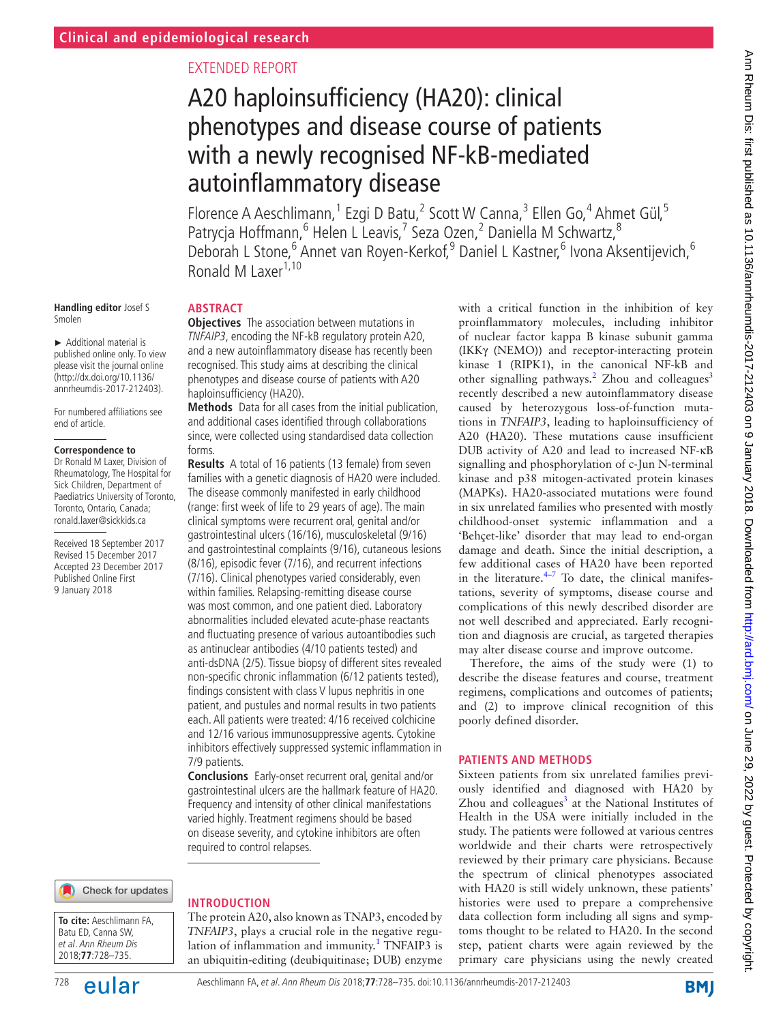# Extended report

# A20 haploinsufficiency (HA20): clinical phenotypes and disease course of patients with a newly recognised NF-kB-mediated autoinflammatory disease

Florence A Aeschlimann,<sup>1</sup> Ezgi D Batu,<sup>2</sup> Scott W Canna,<sup>3</sup> Ellen Go,<sup>4</sup> Ahmet Gül,<sup>5</sup> Patrycja Hoffmann, <sup>6</sup> Helen L Leavis, <sup>7</sup> Seza Ozen, <sup>2</sup> Daniella M Schwartz, <sup>8</sup> Deborah L Stone, <sup>6</sup> Annet van Royen-Kerkof, <sup>9</sup> Daniel L Kastner, <sup>6</sup> Ivona Aksentijevich, <sup>6</sup> Ronald M Laxer $^{1,10}$ 

#### **Handling editor** Josef S Smolen

► Additional material is published online only. To view please visit the journal online (http://dx.doi.org/10.1136/ annrheumdis-2017-212403).

For numbered affiliations see end of article.

#### **Correspondence to**

Dr Ronald M Laxer, Division of Rheumatology, The Hospital for Sick Children, Department of Paediatrics University of Toronto, Toronto, Ontario, Canada; ronald.laxer@sickkids.ca

Received 18 September 2017 Revised 15 December 2017 Accepted 23 December 2017 Published Online First 9 January 2018

# **Abstract**

**Objectives** The association between mutations in TNFAIP3, encoding the NF-kB regulatory protein A20, and a new autoinflammatory disease has recently been recognised. This study aims at describing the clinical phenotypes and disease course of patients with A20 haploinsufficiency (HA20).

**Methods** Data for all cases from the initial publication, and additional cases identified through collaborations since, were collected using standardised data collection forms.

**Results** A total of 16 patients (13 female) from seven families with a genetic diagnosis of HA20 were included. The disease commonly manifested in early childhood (range: first week of life to 29 years of age). The main clinical symptoms were recurrent oral, genital and/or gastrointestinal ulcers (16/16), musculoskeletal (9/16) and gastrointestinal complaints (9/16), cutaneous lesions (8/16), episodic fever (7/16), and recurrent infections (7/16). Clinical phenotypes varied considerably, even within families. Relapsing-remitting disease course was most common, and one patient died. Laboratory abnormalities included elevated acute-phase reactants and fluctuating presence of various autoantibodies such as antinuclear antibodies (4/10 patients tested) and anti-dsDNA (2/5). Tissue biopsy of different sites revealed non-specific chronic inflammation (6/12 patients tested), findings consistent with class V lupus nephritis in one patient, and pustules and normal results in two patients each. All patients were treated: 4/16 received colchicine and 12/16 various immunosuppressive agents. Cytokine inhibitors effectively suppressed systemic inflammation in 7/9 patients.

**Conclusions** Early-onset recurrent oral, genital and/or gastrointestinal ulcers are the hallmark feature of HA20. Frequency and intensity of other clinical manifestations varied highly. Treatment regimens should be based on disease severity, and cytokine inhibitors are often required to control relapses.

Check for updates

**To cite:** Aeschlimann FA, Batu ED, Canna SW, et al. Ann Rheum Dis 2018;**77**:728–735.



## **Introduction**

The protein A20, also known as TNAP3, encoded by *TNFAIP3*, plays a crucial role in the negative regu-lation of inflammation and immunity.<sup>[1](#page-6-0)</sup> TNFAIP3 is an ubiquitin-editing (deubiquitinase; DUB) enzyme

with a critical function in the inhibition of key proinflammatory molecules, including inhibitor of nuclear factor kappa B kinase subunit gamma (IKKγ (NEMO)) and receptor-interacting protein kinase 1 (RIPK1), in the canonical NF-kB and other signalling pathways.<sup>[2](#page-6-1)</sup> Zhou and colleagues<sup>3</sup> recently described a new autoinflammatory disease caused by heterozygous loss-of-function mutations in *TNFAIP3*, leading to haploinsufficiency of A20 (HA20). These mutations cause insufficient DUB activity of A20 and lead to increased NF-κB signalling and phosphorylation of c-Jun N-terminal kinase and p38 mitogen-activated protein kinases (MAPKs). HA20-associated mutations were found in six unrelated families who presented with mostly childhood-onset systemic inflammation and a 'Behçet-like' disorder that may lead to end-organ damage and death. Since the initial description, a few additional cases of HA20 have been reported in the literature. $4-7$  To date, the clinical manifestations, severity of symptoms, disease course and complications of this newly described disorder are not well described and appreciated. Early recognition and diagnosis are crucial, as targeted therapies may alter disease course and improve outcome.

Therefore, the aims of the study were (1) to describe the disease features and course, treatment regimens, complications and outcomes of patients; and (2) to improve clinical recognition of this poorly defined disorder.

## **Patients and methods**

Sixteen patients from six unrelated families previously identified and diagnosed with HA20 by Zhou and colleagues $3$  at the National Institutes of Health in the USA were initially included in the study. The patients were followed at various centres worldwide and their charts were retrospectively reviewed by their primary care physicians. Because the spectrum of clinical phenotypes associated with HA20 is still widely unknown, these patients' histories were used to prepare a comprehensive data collection form including all signs and symptoms thought to be related to HA20. In the second step, patient charts were again reviewed by the primary care physicians using the newly created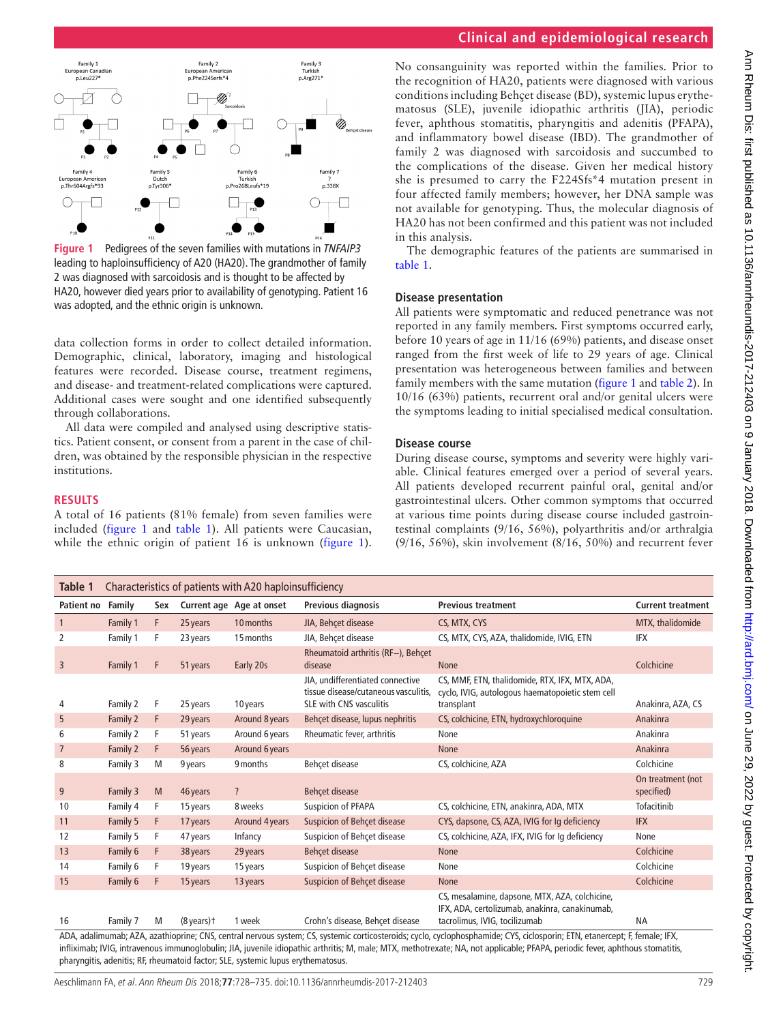# **Clinical and epidemiological research**



<span id="page-1-0"></span>**Figure 1** Pedigrees of the seven families with mutations in *TNFAIP3* leading to haploinsufficiency of A20 (HA20). The grandmother of family 2 was diagnosed with sarcoidosis and is thought to be affected by HA20, however died years prior to availability of genotyping. Patient 16 was adopted, and the ethnic origin is unknown.

data collection forms in order to collect detailed information. Demographic, clinical, laboratory, imaging and histological features were recorded. Disease course, treatment regimens, and disease- and treatment-related complications were captured. Additional cases were sought and one identified subsequently through collaborations.

All data were compiled and analysed using descriptive statistics. Patient consent, or consent from a parent in the case of children, was obtained by the responsible physician in the respective institutions.

## **Results**

A total of 16 patients (81% female) from seven families were included ([figure](#page-1-0) 1 and [table](#page-1-1) 1). All patients were Caucasian, while the ethnic origin of patient 16 is unknown ([figure](#page-1-0) 1). No consanguinity was reported within the families. Prior to the recognition of HA20, patients were diagnosed with various conditions including Behçet disease (BD), systemic lupus erythematosus (SLE), juvenile idiopathic arthritis (JIA), periodic fever, aphthous stomatitis, pharyngitis and adenitis (PFAPA), and inflammatory bowel disease (IBD). The grandmother of family 2 was diagnosed with sarcoidosis and succumbed to the complications of the disease. Given her medical history she is presumed to carry the F224Sfs\*4 mutation present in four affected family members; however, her DNA sample was not available for genotyping. Thus, the molecular diagnosis of HA20 has not been confirmed and this patient was not included in this analysis.

The demographic features of the patients are summarised in [table](#page-1-1) 1.

#### **Disease presentation**

All patients were symptomatic and reduced penetrance was not reported in any family members. First symptoms occurred early, before 10 years of age in 11/16 (69%) patients, and disease onset ranged from the first week of life to 29 years of age. Clinical presentation was heterogeneous between families and between family members with the same mutation [\(figure](#page-1-0) 1 and [table](#page-2-0) 2). In 10/16 (63%) patients, recurrent oral and/or genital ulcers were the symptoms leading to initial specialised medical consultation.

### **Disease course**

During disease course, symptoms and severity were highly variable. Clinical features emerged over a period of several years. All patients developed recurrent painful oral, genital and/or gastrointestinal ulcers. Other common symptoms that occurred at various time points during disease course included gastrointestinal complaints (9/16, 56%), polyarthritis and/or arthralgia (9/16, 56%), skin involvement (8/16, 50%) and recurrent fever

<span id="page-1-1"></span>

| Table 1                                                                                                                                                                                                                                                                                                                                                     | Characteristics of patients with A20 haploinsufficiency |     |                     |                          |                                                                                                            |                                                                                                                  |                                 |
|-------------------------------------------------------------------------------------------------------------------------------------------------------------------------------------------------------------------------------------------------------------------------------------------------------------------------------------------------------------|---------------------------------------------------------|-----|---------------------|--------------------------|------------------------------------------------------------------------------------------------------------|------------------------------------------------------------------------------------------------------------------|---------------------------------|
| Patient no                                                                                                                                                                                                                                                                                                                                                  | Family                                                  | Sex |                     | Current age Age at onset | Previous diagnosis                                                                                         | <b>Previous treatment</b>                                                                                        | <b>Current treatment</b>        |
| $\mathbf{1}$                                                                                                                                                                                                                                                                                                                                                | Family 1                                                | F   | 25 years            | 10 months                | JIA, Behcet disease                                                                                        | CS, MTX, CYS                                                                                                     | MTX, thalidomide                |
| 2                                                                                                                                                                                                                                                                                                                                                           | Family 1                                                | F   | 23 years            | 15 months                | JIA, Behcet disease                                                                                        | CS, MTX, CYS, AZA, thalidomide, IVIG, ETN                                                                        | IFX                             |
| 3                                                                                                                                                                                                                                                                                                                                                           | Family 1                                                | F   | 51 years            | Early 20s                | Rheumatoid arthritis (RF-), Behcet<br>disease                                                              | <b>None</b>                                                                                                      | Colchicine                      |
| 4                                                                                                                                                                                                                                                                                                                                                           | Family 2                                                | F   | 25 years            | 10 years                 | JIA, undifferentiated connective<br>tissue disease/cutaneous vasculitis,<br><b>SLE with CNS vasculitis</b> | CS, MMF, ETN, thalidomide, RTX, IFX, MTX, ADA,<br>cyclo, IVIG, autologous haematopoietic stem cell<br>transplant | Anakinra, AZA, CS               |
| 5                                                                                                                                                                                                                                                                                                                                                           | Family 2                                                | F   | 29 years            | Around 8 years           | Behçet disease, lupus nephritis                                                                            | CS, colchicine, ETN, hydroxychloroquine                                                                          | Anakinra                        |
| 6                                                                                                                                                                                                                                                                                                                                                           | Family 2                                                | F   | 51 years            | Around 6 years           | Rheumatic fever, arthritis                                                                                 | None                                                                                                             | Anakinra                        |
| $\overline{7}$                                                                                                                                                                                                                                                                                                                                              | Family 2                                                | F   | 56 years            | Around 6 years           |                                                                                                            | None                                                                                                             | Anakinra                        |
| 8                                                                                                                                                                                                                                                                                                                                                           | Family 3                                                | M   | 9 years             | 9 months                 | Behcet disease                                                                                             | CS, colchicine, AZA                                                                                              | Colchicine                      |
| 9                                                                                                                                                                                                                                                                                                                                                           | Family 3                                                | M   | 46 years            | $\overline{\cdot}$       | <b>Behcet disease</b>                                                                                      |                                                                                                                  | On treatment (not<br>specified) |
| 10                                                                                                                                                                                                                                                                                                                                                          | Family 4                                                | F   | 15 years            | 8 weeks                  | Suspicion of PFAPA                                                                                         | CS, colchicine, ETN, anakinra, ADA, MTX                                                                          | Tofacitinib                     |
| 11                                                                                                                                                                                                                                                                                                                                                          | Family 5                                                | F   | 17 years            | <b>Around 4 years</b>    | Suspicion of Behcet disease                                                                                | CYS, dapsone, CS, AZA, IVIG for Ig deficiency                                                                    | <b>IFX</b>                      |
| 12                                                                                                                                                                                                                                                                                                                                                          | Family 5                                                | F   | 47 years            | Infancy                  | Suspicion of Behcet disease                                                                                | CS, colchicine, AZA, IFX, IVIG for Ig deficiency                                                                 | None                            |
| 13                                                                                                                                                                                                                                                                                                                                                          | Family 6                                                | F   | 38 years            | 29 years                 | <b>Behcet disease</b>                                                                                      | None                                                                                                             | Colchicine                      |
| 14                                                                                                                                                                                                                                                                                                                                                          | Family 6                                                | F   | 19 years            | 15 years                 | Suspicion of Behçet disease                                                                                | None                                                                                                             | Colchicine                      |
| 15                                                                                                                                                                                                                                                                                                                                                          | Family 6                                                | F   | 15 years            | 13 years                 | <b>Suspicion of Behcet disease</b>                                                                         | None                                                                                                             | Colchicine                      |
| 16                                                                                                                                                                                                                                                                                                                                                          |                                                         |     |                     | 1 week                   | Crohn's disease, Behcet disease                                                                            | CS, mesalamine, dapsone, MTX, AZA, colchicine,<br>IFX, ADA, certolizumab, anakinra, canakinumab,                 | <b>NA</b>                       |
|                                                                                                                                                                                                                                                                                                                                                             | Family 7                                                | M   | $(8 \text{ years})$ |                          |                                                                                                            | tacrolimus, IVIG, tocilizumab                                                                                    |                                 |
| ADA, adalimumab; AZA, azathioprine; CNS, central nervous system; CS, systemic corticosteroids; cyclo, cyclophosphamide; CYS, ciclosporin; ETN, etanercept; F, female; IFX,<br>infliximab; IVIG, intravenous immunoglobulin; JIA, juvenile idiopathic arthritis; M, male; MTX, methotrexate; NA, not applicable; PFAPA, periodic fever, aphthous stomatitis, |                                                         |     |                     |                          |                                                                                                            |                                                                                                                  |                                 |

Aeschlimann FA, et al. Ann Rheum Dis 2018;**77**:728–735. doi:10.1136/annrheumdis-2017-212403 729

pharyngitis, adenitis; RF, rheumatoid factor; SLE, systemic lupus erythematosus.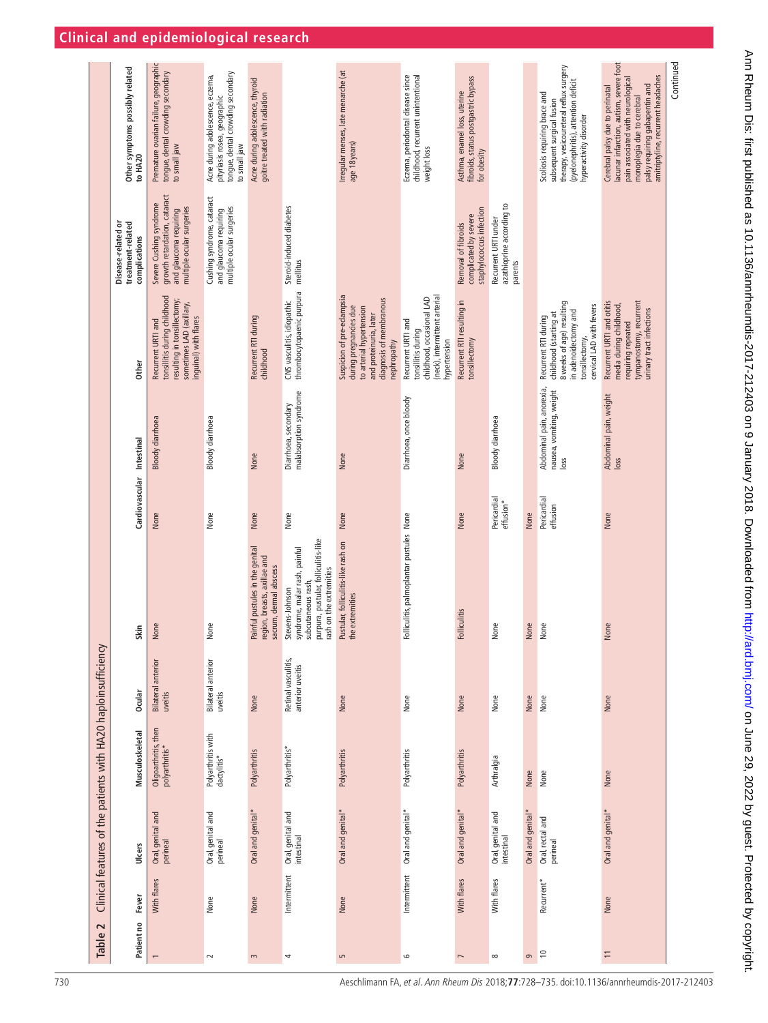<span id="page-2-0"></span>

|                                                                |                                                          |                                                                                                                                        |                                                                                                                       |                                                                                           |                                                                                                                                           |                                                                                                                                                      |                                                                                                                        |                                                                                    |                                                              |                   |                                                                                                                                                                        |                                                                                                                                                                                                                       | Continued |
|----------------------------------------------------------------|----------------------------------------------------------|----------------------------------------------------------------------------------------------------------------------------------------|-----------------------------------------------------------------------------------------------------------------------|-------------------------------------------------------------------------------------------|-------------------------------------------------------------------------------------------------------------------------------------------|------------------------------------------------------------------------------------------------------------------------------------------------------|------------------------------------------------------------------------------------------------------------------------|------------------------------------------------------------------------------------|--------------------------------------------------------------|-------------------|------------------------------------------------------------------------------------------------------------------------------------------------------------------------|-----------------------------------------------------------------------------------------------------------------------------------------------------------------------------------------------------------------------|-----------|
|                                                                | Other symptoms possibly related<br>to HA20               | Premature ovarian failure, geographic<br>tongue, dental crowding secondary<br>to small jaw                                             | tongue, dental crowding secondary<br>Acne during adolescence, eczema,<br>pityriasis rosea, geographic<br>to small jaw | Acne during adolescence, thyroid<br>goitre treated with radiation                         |                                                                                                                                           | Irregular menses, late menarche (at<br>age 18 years)                                                                                                 | childhood, recurrent unintentional<br>Eczema, periodontal disease since<br>weight loss                                 | fibroids, status postgastric bypass<br>Asthma, enamel loss, uterine<br>for obesity |                                                              |                   | therapy, vesicoureteral reflux surgery<br>(pyelonephritis), attention deficit<br>Scoliosis requiring brace and<br>subsequent surgical fusion<br>hyperactivity disorder | lacunar infarction, autism, severe foot<br>amitriptyline, recurrent headaches<br>pain associated with neurological<br>palsy requiring gabapentin and<br>Cerebral palsy due to perinatal<br>monoplegia due to cerebral |           |
|                                                                | Disease-related or<br>treatment-related<br>complications | growth retardation, cataract<br>Severe Cushing syndrome<br>multiple ocular surgeries<br>and glaucoma requiring                         | Cushing syndrome, cataract<br>multiple ocular surgeries<br>and glaucoma requiring                                     |                                                                                           | Steroid-induced diabetes<br>mellitus                                                                                                      |                                                                                                                                                      |                                                                                                                        | staphylococcus infection<br>complicated by severe<br>Removal of fibroids           | azathioprine according to<br>Recurrent URTI under<br>parents |                   |                                                                                                                                                                        |                                                                                                                                                                                                                       |           |
|                                                                | <b>Other</b>                                             | tonsillitis during childhood<br>resulting in tonsillectomy;<br>sometimes LAD (axillary,<br>inguinal) with flares<br>Recurrent URTI and |                                                                                                                       | Recurrent RTI during<br>childhood                                                         | CNS vasculitis, idiopathic<br>thrombocytopaenic purpura                                                                                   | Suspicion of pre-eclampsia<br>diagnosis of membranous<br>during pregnancies due<br>to arterial hypertension<br>and proteinuria, later<br>nephropathy | (neck), intermittent arterial<br>childhood, occasional LAD<br>Recurrent URTI and<br>tonsillitis during<br>hypertension | Recurrent RTI resulting in<br>tonsillectomy                                        |                                                              |                   | 8 weeks of age) resulting<br>cervical LAD with fevers<br>in adenoidectomy and<br>childhood (starting at<br>Recurrent RTI during<br>tonsillectomy,                      | tympanostomy, recurrent<br>Recurrent URTI and otitis<br>media during childhood,<br>urinary tract infections<br>requiring repeated                                                                                     |           |
|                                                                | Cardiovascular Intestinal                                | <b>Bloody diarrhoea</b>                                                                                                                | Bloody diarrhoea                                                                                                      | None                                                                                      | malabsorption syndrome<br>Diarrhoea, secondary                                                                                            | None                                                                                                                                                 | Diarrhoea, once bloody                                                                                                 | None                                                                               | <b>Bloody</b> diarrhoea                                      |                   | Abdominal pain, anorexia,<br>nausea, vomiting, weight<br>loss                                                                                                          | Abdominal pain, weight<br>loss                                                                                                                                                                                        |           |
|                                                                |                                                          | None                                                                                                                                   | None                                                                                                                  | None                                                                                      | None                                                                                                                                      | None                                                                                                                                                 |                                                                                                                        | None                                                                               | Pericardial<br>effusion*                                     | None              | Pericardial<br>effusion                                                                                                                                                | None                                                                                                                                                                                                                  |           |
|                                                                | Skin                                                     | None                                                                                                                                   | None                                                                                                                  | Painful pustules in the genital<br>region, breasts, axillae and<br>sacrum, dermal abscess | purpura, pustular, folliculitis-like<br>syndrome, malar rash, painful<br>rash on the extremities<br>subcutaneous rash,<br>Stevens-Johnson | Pustular, folliculitis-like rash on<br>the extremities                                                                                               | Folliculitis, palmoplantar pustules None                                                                               | <b>Folliculitis</b>                                                                | None                                                         | None              | None                                                                                                                                                                   | None                                                                                                                                                                                                                  |           |
|                                                                | <b>Ocular</b>                                            | <b>Bilateral anterior</b><br>uveitis                                                                                                   | Bilateral anterior<br>uveitis                                                                                         | None                                                                                      | Retinal vasculitis,<br>anterior uveitis                                                                                                   | None                                                                                                                                                 | None                                                                                                                   | None                                                                               | None                                                         | None              | None                                                                                                                                                                   | None                                                                                                                                                                                                                  |           |
| Clinical features of the patients with HA20 haploinsufficiency | Musculoskeletal                                          | Oligoarthritis, then<br>polyarthritis*                                                                                                 | Polyarthritis with<br>dactylitis*                                                                                     | Polyarthritis                                                                             | Polyarthritis*                                                                                                                            | Polyarthritis                                                                                                                                        | Polyarthritis                                                                                                          | Polyarthritis                                                                      | Arthralgia                                                   | None              | None                                                                                                                                                                   | None                                                                                                                                                                                                                  |           |
|                                                                | Ulcers                                                   | Oral, genital and<br>perineal                                                                                                          | Oral, genital and<br>perineal                                                                                         | Oral and genital*                                                                         | Oral, genital and<br>intestinal                                                                                                           | Oral and genital*                                                                                                                                    | Oral and genital*                                                                                                      | Oral and genital*                                                                  | Oral, genital and<br>intestinal                              | Oral and genital* | Oral, rectal and<br>perineal                                                                                                                                           | Oral and genital*                                                                                                                                                                                                     |           |
|                                                                | Fever                                                    | With flares                                                                                                                            | None                                                                                                                  | None                                                                                      | Intermittent                                                                                                                              | None                                                                                                                                                 | Intermittent                                                                                                           | With flares                                                                        | With flares                                                  |                   | Recurrent*                                                                                                                                                             | None                                                                                                                                                                                                                  |           |
| Table 2                                                        | Patient no                                               |                                                                                                                                        | $\sim$                                                                                                                | $\sim$                                                                                    | 4                                                                                                                                         | $\overline{5}$                                                                                                                                       | $\circ$                                                                                                                | $\overline{ }$                                                                     | $\infty$                                                     | $\circ$           | $\approx$                                                                                                                                                              | $\overline{1}$                                                                                                                                                                                                        |           |

Ann Rheum Dis: first published as 10.1136/anntheumdis-2017-212403 on 9 January 2018. Downloaded from http://ard.bm/on June 29, 2022 by guest. Protected by copyright. Ann Pheum Dis: first published as 10.1136/annrheumdis-2017-212403 on 9 January 2018. Downloaded from Dismi,com/ on June 29, 2022 by guest. Protected by copyright.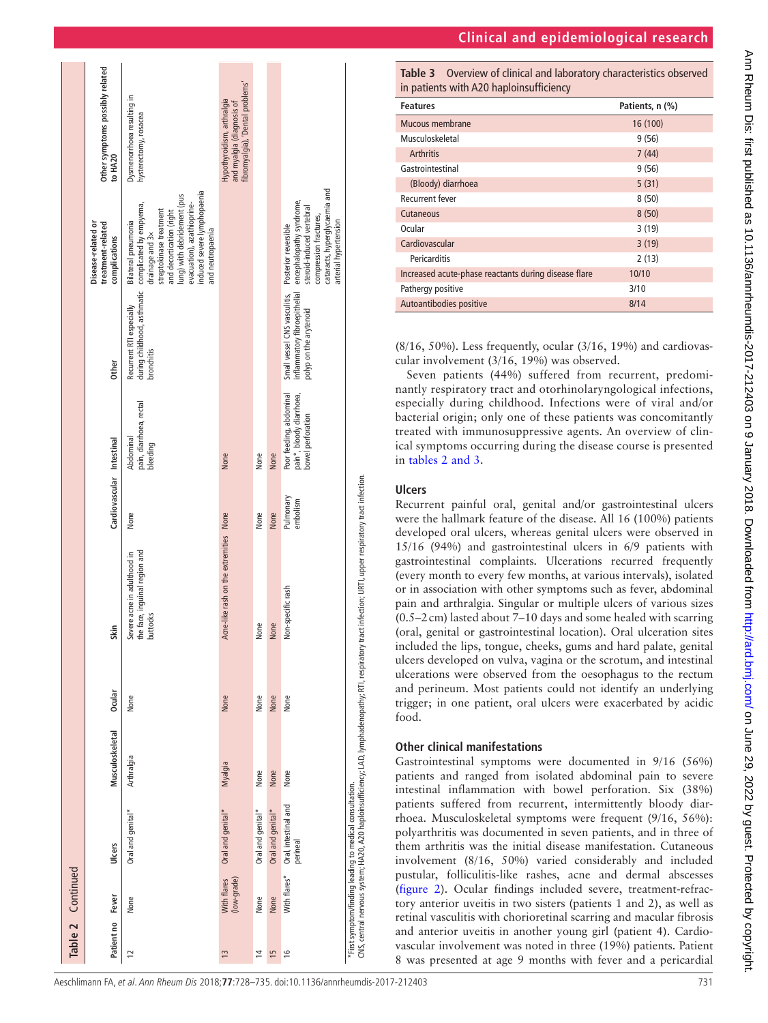| <b>Clinical and epidemiological research</b> |  |  |  |  |  |
|----------------------------------------------|--|--|--|--|--|
|----------------------------------------------|--|--|--|--|--|



**Table 3** Overview of clinical and laboratory characteristics observed in patients with A20 haploinsufficiency

| <b>Features</b>                                      | Patients, n (%) |
|------------------------------------------------------|-----------------|
| Mucous membrane                                      | 16 (100)        |
| Musculoskeletal                                      | 9(56)           |
| <b>Arthritis</b>                                     | 7(44)           |
| Gastrointestinal                                     | 9(56)           |
| (Bloody) diarrhoea                                   | 5(31)           |
| <b>Recurrent fever</b>                               | 8(50)           |
| Cutaneous                                            | 8(50)           |
| Ocular                                               | 3(19)           |
| Cardiovascular                                       | 3(19)           |
| Pericarditis                                         | 2(13)           |
| Increased acute-phase reactants during disease flare | 10/10           |
| Pathergy positive                                    | 3/10            |
| Autoantibodies positive                              | 8/14            |

(8/16, 50%). Less frequently, ocular (3/16, 19%) and cardiovas cular involvement (3/16, 19%) was observed.

Seven patients (44%) suffered from recurrent, predomi nantly respiratory tract and otorhinolaryngological infections, especially during childhood. Infections were of viral and/or bacterial origin; only one of these patients was concomitantly treated with immunosuppressive agents. An overview of clin ical symptoms occurring during the disease course is presented in tables [2 and 3](#page-2-0) .

## **Ulcers**

Recurrent painful oral, genital and/or gastrointestinal ulcers were the hallmark feature of the disease. All 16 (100%) patients developed oral ulcers, whereas genital ulcers were observed in 15/16 (94%) and gastrointestinal ulcers in 6/9 patients with gastrointestinal complaints. Ulcerations recurred frequently (every month to every few months, at various intervals), isolated or in association with other symptoms such as fever, abdominal pain and arthralgia. Singular or multiple ulcers of various sizes (0.5–2cm) lasted about 7–10 days and some healed with scarring (oral, genital or gastrointestinal location). Oral ulceration sites included the lips, tongue, cheeks, gums and hard palate, genital ulcers developed on vulva, vagina or the scrotum, and intestinal ulcerations were observed from the oesophagus to the rectum and perineum. Most patients could not identify an underlying trigger; in one patient, oral ulcers were exacerbated by acidic food.

# **Other clinical manifestations**

Gastrointestinal symptoms were documented in 9/16 (56%) patients and ranged from isolated abdominal pain to severe intestinal inflammation with bowel perforation. Six (38%) patients suffered from recurrent, intermittently bloody diar rhoea. Musculoskeletal symptoms were frequent (9/16, 56%): polyarthritis was documented in seven patients, and in three of them arthritis was the initial disease manifestation. Cutaneous involvement (8/16, 50%) varied considerably and included pustular, folliculitis-like rashes, acne and dermal abscesses ([figure](#page-4-0) 2). Ocular findings included severe, treatment-refractory anterior uveitis in two sisters (patients 1 and 2), as well as retinal vasculitis with chorioretinal scarring and macular fibrosis and anterior uveitis in another young girl (patient 4). Cardio vascular involvement was noted in three (19%) patients. Patient 8 was presented at age 9 months with fever and a pericardial

|                | <b>Table 2</b> Continued   |                                                         |                 |         |                                                                                                                                                             |                           |                                                                          |                                                                                        |                                                                                                                                                                                                                                          |                                                                                             |
|----------------|----------------------------|---------------------------------------------------------|-----------------|---------|-------------------------------------------------------------------------------------------------------------------------------------------------------------|---------------------------|--------------------------------------------------------------------------|----------------------------------------------------------------------------------------|------------------------------------------------------------------------------------------------------------------------------------------------------------------------------------------------------------------------------------------|---------------------------------------------------------------------------------------------|
|                | Patient no<br>Fever        | Ulcers                                                  | Musculoskeletal | 0 cular | Skin                                                                                                                                                        | Cardiovascular Intestinal |                                                                          | <b>Other</b>                                                                           | Disease-related or<br>treatment-related<br>complications                                                                                                                                                                                 | Other symptoms possibly related<br>to HA20                                                  |
| $\overline{1}$ | None                       | Oral and genital*                                       | Arthralgia      | None    | the face, inguinal region and<br>Severe acne in adulthood in<br>buttocks                                                                                    | None                      | pain, diarrhoea, rectal<br>Abdominal<br>bleeding                         | during childhood, asthmatic<br>Recurrent RTI especially<br>bronchitis                  | induced severe lymphopaenia<br>lung) with debridement (pus<br>complicated by empyema,<br>drainage and 3x<br>evacuation), azathioprine-<br>streptokinase treatment<br>and decortication (right<br>Bilateral pneumonia<br>and neutropaenia | Dysmenorrhoea resulting in<br>hysterectomy, rosacea                                         |
| $\frac{3}{2}$  | With flares<br>(low-grade) | Oral and genital*                                       | Myalgia         | None    | Acne-like rash on the extremities None                                                                                                                      |                           | None                                                                     |                                                                                        |                                                                                                                                                                                                                                          | fibromyalgia), 'Dental problems'<br>Hypothyroidism, arthralgia<br>and myalgia (diagnosis of |
| $\overline{4}$ | None                       | Oral and genital*                                       | None            | None    | None                                                                                                                                                        | None                      | None                                                                     |                                                                                        |                                                                                                                                                                                                                                          |                                                                                             |
| 15             | None                       | Oral and genital*                                       | None            | None    | None                                                                                                                                                        | None                      | None                                                                     |                                                                                        |                                                                                                                                                                                                                                          |                                                                                             |
| $\frac{6}{2}$  | With flares*               | Oral, intestinal and<br>perineal                        | None            | None    | Non-specific rash                                                                                                                                           | Pulmonary<br>embolism     | Poor feeding, abdominal<br>pain*, bloody diarrhoea,<br>bowel perforation | Small vessel CNS vasculitis,<br>inflammatory fibroepithelial<br>polyp on the arytenoid | cataracts, hyperglycaemia and<br>encephalopathy syndrome,<br>steroid-induced vertebral<br>compression fractures,<br>arterial hypertension<br>Posterior reversible                                                                        |                                                                                             |
|                |                            | *First symptom/finding leading to medical consultation. |                 |         | CNS, central nervous system; HA20, A20 haploinsufficiency; LAD, lymphadenopathy; RTI, respiratory tract infection; URTI, upper respiratory tract infection. |                           |                                                                          |                                                                                        |                                                                                                                                                                                                                                          |                                                                                             |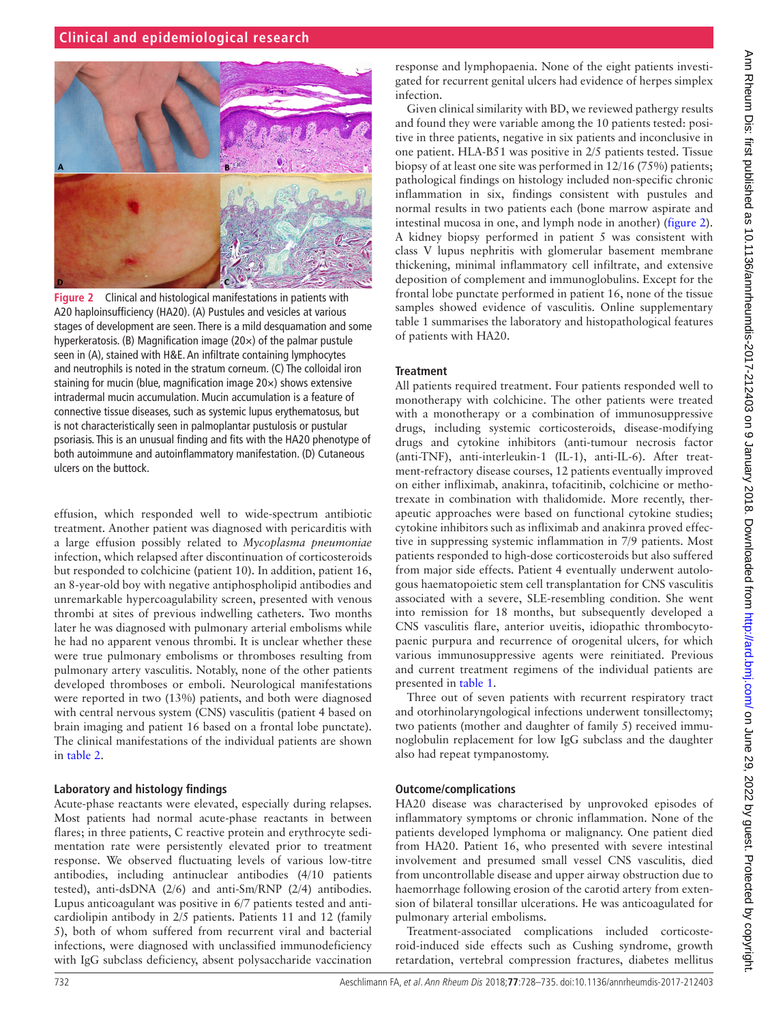# **Clinical and epidemiological research**

<span id="page-4-0"></span>

**Figure 2** Clinical and histological manifestations in patients with A20 haploinsufficiency (HA20). (A) Pustules and vesicles at various stages of development are seen. There is a mild desquamation and some hyperkeratosis. (B) Magnification image (20×) of the palmar pustule seen in (A), stained with H&E. An infiltrate containing lymphocytes and neutrophils is noted in the stratum corneum. (C) The colloidal iron staining for mucin (blue, magnification image 20×) shows extensive intradermal mucin accumulation. Mucin accumulation is a feature of connective tissue diseases, such as systemic lupus erythematosus, but is not characteristically seen in palmoplantar pustulosis or pustular psoriasis. This is an unusual finding and fits with the HA20 phenotype of both autoimmune and autoinflammatory manifestation. (D) Cutaneous ulcers on the buttock.

effusion, which responded well to wide-spectrum antibiotic treatment. Another patient was diagnosed with pericarditis with a large effusion possibly related to *Mycoplasma pneumoniae* infection, which relapsed after discontinuation of corticosteroids but responded to colchicine (patient 10). In addition, patient 16, an 8-year-old boy with negative antiphospholipid antibodies and unremarkable hypercoagulability screen, presented with venous thrombi at sites of previous indwelling catheters. Two months later he was diagnosed with pulmonary arterial embolisms while he had no apparent venous thrombi. It is unclear whether these were true pulmonary embolisms or thromboses resulting from pulmonary artery vasculitis. Notably, none of the other patients developed thromboses or emboli. Neurological manifestations were reported in two (13%) patients, and both were diagnosed with central nervous system (CNS) vasculitis (patient 4 based on brain imaging and patient 16 based on a frontal lobe punctate). The clinical manifestations of the individual patients are shown in [table](#page-2-0) 2.

#### **Laboratory and histology findings**

Acute-phase reactants were elevated, especially during relapses. Most patients had normal acute-phase reactants in between flares; in three patients, C reactive protein and erythrocyte sedimentation rate were persistently elevated prior to treatment response. We observed fluctuating levels of various low-titre antibodies, including antinuclear antibodies (4/10 patients tested), anti-dsDNA (2/6) and anti-Sm/RNP (2/4) antibodies. Lupus anticoagulant was positive in 6/7 patients tested and anticardiolipin antibody in 2/5 patients. Patients 11 and 12 (family 5), both of whom suffered from recurrent viral and bacterial infections, were diagnosed with unclassified immunodeficiency with IgG subclass deficiency, absent polysaccharide vaccination

response and lymphopaenia. None of the eight patients investigated for recurrent genital ulcers had evidence of herpes simplex infection.

Given clinical similarity with BD, we reviewed pathergy results and found they were variable among the 10 patients tested: positive in three patients, negative in six patients and inconclusive in one patient. HLA-B51 was positive in 2/5 patients tested. Tissue biopsy of at least one site was performed in 12/16 (75%) patients; pathological findings on histology included non-specific chronic inflammation in six, findings consistent with pustules and normal results in two patients each (bone marrow aspirate and intestinal mucosa in one, and lymph node in another) ([figure](#page-4-0) 2). A kidney biopsy performed in patient 5 was consistent with class V lupus nephritis with glomerular basement membrane thickening, minimal inflammatory cell infiltrate, and extensive deposition of complement and immunoglobulins. Except for the frontal lobe punctate performed in patient 16, none of the tissue samples showed evidence of vasculitis. Online [supplementary](https://dx.doi.org/10.1136/annrheumdis-2017-212403) [table 1](https://dx.doi.org/10.1136/annrheumdis-2017-212403) summarises the laboratory and histopathological features of patients with HA20.

#### **Treatment**

All patients required treatment. Four patients responded well to monotherapy with colchicine. The other patients were treated with a monotherapy or a combination of immunosuppressive drugs, including systemic corticosteroids, disease-modifying drugs and cytokine inhibitors (anti-tumour necrosis factor (anti-TNF), anti-interleukin-1 (IL-1), anti-IL-6). After treatment-refractory disease courses, 12 patients eventually improved on either infliximab, anakinra, tofacitinib, colchicine or methotrexate in combination with thalidomide. More recently, therapeutic approaches were based on functional cytokine studies; cytokine inhibitors such as infliximab and anakinra proved effective in suppressing systemic inflammation in 7/9 patients. Most patients responded to high-dose corticosteroids but also suffered from major side effects. Patient 4 eventually underwent autologous haematopoietic stem cell transplantation for CNS vasculitis associated with a severe, SLE-resembling condition. She went into remission for 18 months, but subsequently developed a CNS vasculitis flare, anterior uveitis, idiopathic thrombocytopaenic purpura and recurrence of orogenital ulcers, for which various immunosuppressive agents were reinitiated. Previous and current treatment regimens of the individual patients are presented in [table](#page-1-1) 1.

Three out of seven patients with recurrent respiratory tract and otorhinolaryngological infections underwent tonsillectomy; two patients (mother and daughter of family 5) received immunoglobulin replacement for low IgG subclass and the daughter also had repeat tympanostomy.

## **Outcome/complications**

HA20 disease was characterised by unprovoked episodes of inflammatory symptoms or chronic inflammation. None of the patients developed lymphoma or malignancy. One patient died from HA20. Patient 16, who presented with severe intestinal involvement and presumed small vessel CNS vasculitis, died from uncontrollable disease and upper airway obstruction due to haemorrhage following erosion of the carotid artery from extension of bilateral tonsillar ulcerations. He was anticoagulated for pulmonary arterial embolisms.

Treatment-associated complications included corticosteroid-induced side effects such as Cushing syndrome, growth retardation, vertebral compression fractures, diabetes mellitus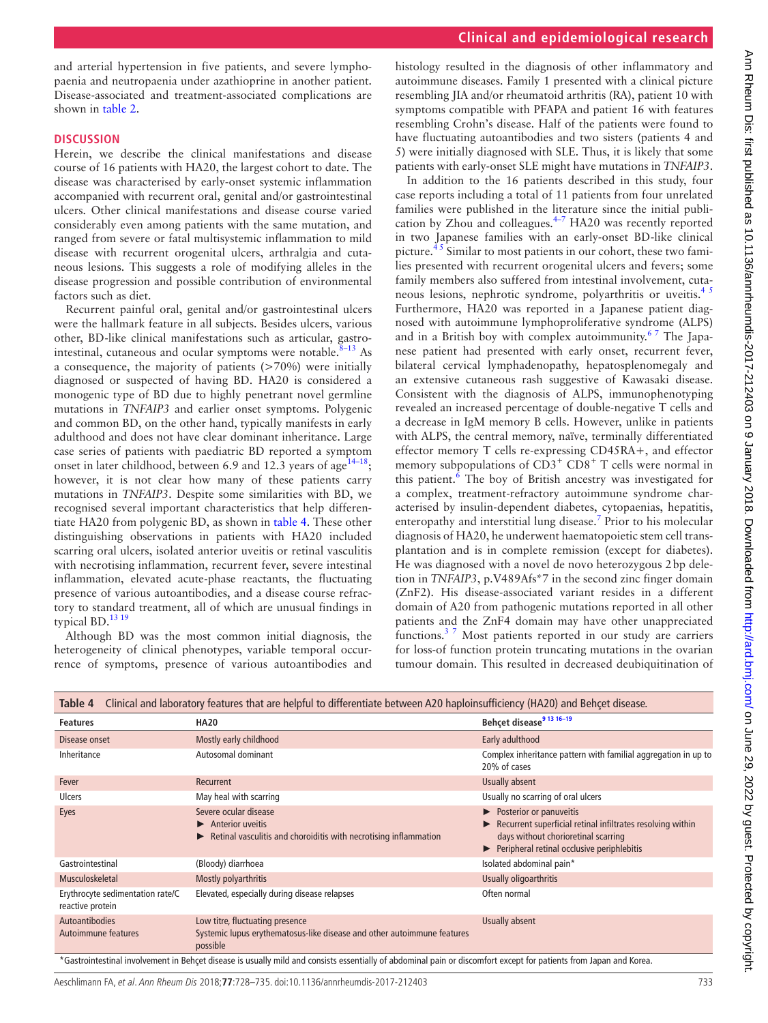and arterial hypertension in five patients, and severe lymphopaenia and neutropaenia under azathioprine in another patient. Disease-associated and treatment-associated complications are shown in [table](#page-2-0) 2.

## **Discussion**

Herein, we describe the clinical manifestations and disease course of 16 patients with HA20, the largest cohort to date. The disease was characterised by early-onset systemic inflammation accompanied with recurrent oral, genital and/or gastrointestinal ulcers. Other clinical manifestations and disease course varied considerably even among patients with the same mutation, and ranged from severe or fatal multisystemic inflammation to mild disease with recurrent orogenital ulcers, arthralgia and cutaneous lesions. This suggests a role of modifying alleles in the disease progression and possible contribution of environmental factors such as diet.

Recurrent painful oral, genital and/or gastrointestinal ulcers were the hallmark feature in all subjects. Besides ulcers, various other, BD-like clinical manifestations such as articular, gastrointestinal, cutaneous and ocular symptoms were notable. $8-13$  As a consequence, the majority of patients (>70%) were initially diagnosed or suspected of having BD. HA20 is considered a monogenic type of BD due to highly penetrant novel germline mutations in *TNFAIP3* and earlier onset symptoms. Polygenic and common BD, on the other hand, typically manifests in early adulthood and does not have clear dominant inheritance. Large case series of patients with paediatric BD reported a symptom onset in later childhood, between 6.9 and 12.3 years of age<sup>14–18</sup>; however, it is not clear how many of these patients carry mutations in *TNFAIP3*. Despite some similarities with BD, we recognised several important characteristics that help differentiate HA20 from polygenic BD, as shown in [table](#page-5-0) 4. These other distinguishing observations in patients with HA20 included scarring oral ulcers, isolated anterior uveitis or retinal vasculitis with necrotising inflammation, recurrent fever, severe intestinal inflammation, elevated acute-phase reactants, the fluctuating presence of various autoantibodies, and a disease course refractory to standard treatment, all of which are unusual findings in typical BD.<sup>13</sup> <sup>19</sup>

Although BD was the most common initial diagnosis, the heterogeneity of clinical phenotypes, variable temporal occurrence of symptoms, presence of various autoantibodies and

histology resulted in the diagnosis of other inflammatory and autoimmune diseases. Family 1 presented with a clinical picture resembling JIA and/or rheumatoid arthritis (RA), patient 10 with symptoms compatible with PFAPA and patient 16 with features resembling Crohn's disease. Half of the patients were found to have fluctuating autoantibodies and two sisters (patients 4 and 5) were initially diagnosed with SLE. Thus, it is likely that some patients with early-onset SLE might have mutations in *TNFAIP3*.

In addition to the 16 patients described in this study, four case reports including a total of 11 patients from four unrelated families were published in the literature since the initial publication by Zhou and colleagues[.4–7](#page-6-2) HA20 was recently reported in two Japanese families with an early-onset BD-like clinical picture.<sup> $45$ </sup> Similar to most patients in our cohort, these two families presented with recurrent orogenital ulcers and fevers; some family members also suffered from intestinal involvement, cutaneous lesions, nephrotic syndrome, polyarthritis or uveitis.<sup>45</sup> Furthermore, HA20 was reported in a Japanese patient diagnosed with autoimmune lymphoproliferative syndrome (ALPS) and in a British boy with complex autoimmunity.<sup>67</sup> The Japanese patient had presented with early onset, recurrent fever, bilateral cervical lymphadenopathy, hepatosplenomegaly and an extensive cutaneous rash suggestive of Kawasaki disease. Consistent with the diagnosis of ALPS, immunophenotyping revealed an increased percentage of double-negative T cells and a decrease in IgM memory B cells. However, unlike in patients with ALPS, the central memory, naïve, terminally differentiated effector memory T cells re-expressing CD45RA+, and effector memory subpopulations of  $CD3^+$   $CD8^+$  T cells were normal in this patient.<sup>[6](#page-6-6)</sup> The boy of British ancestry was investigated for a complex, treatment-refractory autoimmune syndrome characterised by insulin-dependent diabetes, cytopaenias, hepatitis, enteropathy and interstitial lung disease.<sup>7</sup> Prior to his molecular diagnosis of HA20, he underwent haematopoietic stem cell transplantation and is in complete remission (except for diabetes). He was diagnosed with a novel de novo heterozygous 2bp deletion in *TNFAIP3*, p.V489Afs\*7 in the second zinc finger domain (ZnF2). His disease-associated variant resides in a different domain of A20 from pathogenic mutations reported in all other patients and the ZnF4 domain may have other unappreciated functions.[3 7](#page-6-3) Most patients reported in our study are carriers for loss-of function protein truncating mutations in the ovarian tumour domain. This resulted in decreased deubiquitination of

<span id="page-5-0"></span>

| Table 4                                                                                                                                                            | Clinical and laboratory features that are helpful to differentiate between A20 haploinsufficiency (HA20) and Behçet disease.        |                                                                                                                                                                            |  |  |  |  |  |
|--------------------------------------------------------------------------------------------------------------------------------------------------------------------|-------------------------------------------------------------------------------------------------------------------------------------|----------------------------------------------------------------------------------------------------------------------------------------------------------------------------|--|--|--|--|--|
| <b>Features</b>                                                                                                                                                    | <b>HA20</b>                                                                                                                         | Behçet disease <sup>9</sup> 13 16-19                                                                                                                                       |  |  |  |  |  |
| Disease onset                                                                                                                                                      | Mostly early childhood                                                                                                              | Early adulthood                                                                                                                                                            |  |  |  |  |  |
| Inheritance                                                                                                                                                        | Autosomal dominant                                                                                                                  | Complex inheritance pattern with familial aggregation in up to<br>20% of cases                                                                                             |  |  |  |  |  |
| Fever                                                                                                                                                              | Recurrent                                                                                                                           | Usually absent                                                                                                                                                             |  |  |  |  |  |
| <b>Ulcers</b>                                                                                                                                                      | May heal with scarring                                                                                                              | Usually no scarring of oral ulcers                                                                                                                                         |  |  |  |  |  |
| Eyes                                                                                                                                                               | Severe ocular disease<br>$\blacktriangleright$ Anterior uveitis<br>Retinal vasculitis and choroiditis with necrotising inflammation | Posterior or panuveitis<br>Recurrent superficial retinal infiltrates resolving within<br>days without chorioretinal scarring<br>Peripheral retinal occlusive periphlebitis |  |  |  |  |  |
| Gastrointestinal                                                                                                                                                   | (Bloody) diarrhoea                                                                                                                  | Isolated abdominal pain*                                                                                                                                                   |  |  |  |  |  |
| Musculoskeletal                                                                                                                                                    | Mostly polyarthritis                                                                                                                | Usually oligoarthritis                                                                                                                                                     |  |  |  |  |  |
| Erythrocyte sedimentation rate/C<br>reactive protein                                                                                                               | Elevated, especially during disease relapses                                                                                        | Often normal                                                                                                                                                               |  |  |  |  |  |
| <b>Autoantibodies</b><br>Autoimmune features                                                                                                                       | Low titre, fluctuating presence<br>Systemic lupus erythematosus-like disease and other autoimmune features<br>possible              | Usually absent                                                                                                                                                             |  |  |  |  |  |
| *Gastrointestinal involvement in Behçet disease is usually mild and consists essentially of abdominal pain or discomfort except for patients from Japan and Korea. |                                                                                                                                     |                                                                                                                                                                            |  |  |  |  |  |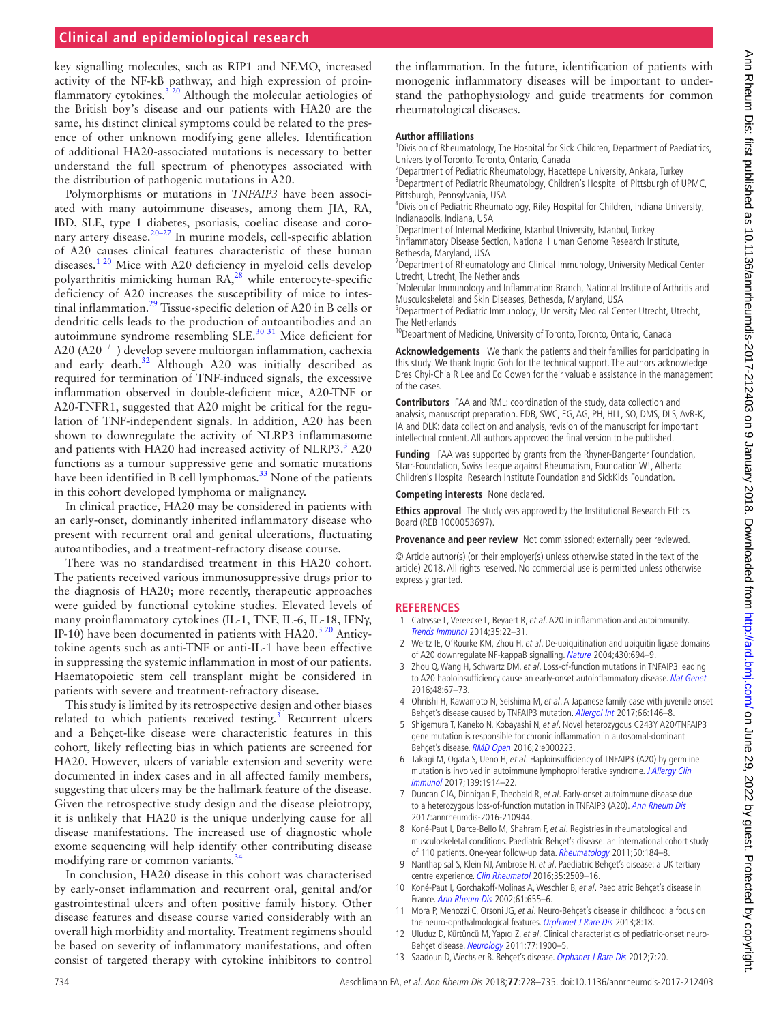# **Clinical and epidemiological research**

key signalling molecules, such as RIP1 and NEMO, increased activity of the NF-kB pathway, and high expression of proinflammatory cytokines.<sup>320</sup> Although the molecular aetiologies of the British boy's disease and our patients with HA20 are the same, his distinct clinical symptoms could be related to the presence of other unknown modifying gene alleles. Identification of additional HA20-associated mutations is necessary to better understand the full spectrum of phenotypes associated with the distribution of pathogenic mutations in A20.

Polymorphisms or mutations in *TNFAIP3* have been associated with many autoimmune diseases, among them JIA, RA, IBD, SLE, type 1 diabetes, psoriasis, coeliac disease and coro-nary artery disease.<sup>[20–27](#page-7-1)</sup> In murine models, cell-specific ablation of A20 causes clinical features characteristic of these human diseases. $1^{20}$  Mice with A20 deficiency in myeloid cells develop polyarthritis mimicking human RA,<sup>[28](#page-7-2)</sup> while enterocyte-specific deficiency of A20 increases the susceptibility of mice to intestinal inflammation.[29](#page-7-3) Tissue-specific deletion of A20 in B cells or dendritic cells leads to the production of autoantibodies and an autoimmune syndrome resembling SLE. $30\,31$  Mice deficient for A20 (A20−/−) develop severe multiorgan inflammation, cachexia and early death.<sup>[32](#page-7-5)</sup> Although A20 was initially described as required for termination of TNF-induced signals, the excessive inflammation observed in double-deficient mice, A20-TNF or A20-TNFR1, suggested that A20 might be critical for the regulation of TNF-independent signals. In addition, A20 has been shown to downregulate the activity of NLRP3 inflammasome and patients with HA20 had increased activity of NLRP[3](#page-6-3).<sup>3</sup> A20 functions as a tumour suppressive gene and somatic mutations have been identified in B cell lymphomas.<sup>33</sup> None of the patients in this cohort developed lymphoma or malignancy.

In clinical practice, HA20 may be considered in patients with an early-onset, dominantly inherited inflammatory disease who present with recurrent oral and genital ulcerations, fluctuating autoantibodies, and a treatment-refractory disease course.

There was no standardised treatment in this HA20 cohort. The patients received various immunosuppressive drugs prior to the diagnosis of HA20; more recently, therapeutic approaches were guided by functional cytokine studies. Elevated levels of many proinflammatory cytokines (IL-1, TNF, IL-6, IL-18, IFNγ, IP-10) have been documented in patients with  $HA20<sup>320</sup>$  Anticytokine agents such as anti-TNF or anti-IL-1 have been effective in suppressing the systemic inflammation in most of our patients. Haematopoietic stem cell transplant might be considered in patients with severe and treatment-refractory disease.

This study is limited by its retrospective design and other biases related to which patients received testing. $3$  Recurrent ulcers and a Behçet-like disease were characteristic features in this cohort, likely reflecting bias in which patients are screened for HA20. However, ulcers of variable extension and severity were documented in index cases and in all affected family members, suggesting that ulcers may be the hallmark feature of the disease. Given the retrospective study design and the disease pleiotropy, it is unlikely that HA20 is the unique underlying cause for all disease manifestations. The increased use of diagnostic whole exome sequencing will help identify other contributing disease modifying rare or common variants.<sup>[34](#page-7-7)</sup>

In conclusion, HA20 disease in this cohort was characterised by early-onset inflammation and recurrent oral, genital and/or gastrointestinal ulcers and often positive family history. Other disease features and disease course varied considerably with an overall high morbidity and mortality. Treatment regimens should be based on severity of inflammatory manifestations, and often consist of targeted therapy with cytokine inhibitors to control

the inflammation. In the future, identification of patients with monogenic inflammatory diseases will be important to understand the pathophysiology and guide treatments for common rheumatological diseases.

#### **Author affiliations**

<sup>1</sup> Division of Rheumatology, The Hospital for Sick Children, Department of Paediatrics, University of Toronto, Toronto, Ontario, Canada <sup>2</sup>

 $2$ Department of Pediatric Rheumatology, Hacettepe University, Ankara, Turkey <sup>3</sup>Department of Pediatric Rheumatology, Children's Hospital of Pittsburgh of UPMC, Pittsburgh, Pennsylvania, USA <sup>4</sup>

Division of Pediatric Rheumatology, Riley Hospital for Children, Indiana University, Indianapolis, Indiana, USA

<sup>5</sup> Department of Internal Medicine, Istanbul University, Istanbul, Turkey **6. 1988**<br><sup>6</sup> Inflammatory Disease Section, National Human Genome Besearch In <sup>6</sup>Inflammatory Disease Section, National Human Genome Research Institute, Bethesda, Maryland, USA <sup>7</sup>

Department of Rheumatology and Clinical Immunology, University Medical Center Utrecht, Utrecht, The Netherlands

<sup>3</sup>Molecular Immunology and Inflammation Branch, National Institute of Arthritis and Musculoskeletal and Skin Diseases, Bethesda, Maryland, USA <sup>9</sup>

<sup>9</sup>Department of Pediatric Immunology, University Medical Center Utrecht, Utrecht,

The Netherlands<br><sup>10</sup>Department of Medicine, University of Toronto, Toronto, Ontario, Canada

**Acknowledgements** We thank the patients and their families for participating in this study. We thank Ingrid Goh for the technical support. The authors acknowledge Dres Chyi-Chia R Lee and Ed Cowen for their valuable assistance in the management of the cases.

**Contributors** FAA and RML: coordination of the study, data collection and analysis, manuscript preparation. EDB, SWC, EG, AG, PH, HLL, SO, DMS, DLS, AvR-K, IA and DLK: data collection and analysis, revision of the manuscript for important intellectual content. All authors approved the final version to be published.

**Funding** FAA was supported by grants from the Rhyner-Bangerter Foundation, Starr-Foundation, Swiss League against Rheumatism, Foundation W!, Alberta Children's Hospital Research Institute Foundation and SickKids Foundation.

**Competing interests** None declared.

**Ethics approval** The study was approved by the Institutional Research Ethics Board (REB 1000053697).

**Provenance and peer review** Not commissioned; externally peer reviewed.

© Article author(s) (or their employer(s) unless otherwise stated in the text of the article) 2018. All rights reserved. No commercial use is permitted unless otherwise expressly granted.

#### **References**

- <span id="page-6-0"></span>1 Catrysse L, Vereecke L, Beyaert R, et al. A20 in inflammation and autoimmunity. [Trends Immunol](http://dx.doi.org/10.1016/j.it.2013.10.005) 2014;35:22–31.
- <span id="page-6-1"></span>2 Wertz IE, O'Rourke KM, Zhou H, et al. De-ubiquitination and ubiquitin ligase domains of A20 downregulate NF-kappaB signalling. [Nature](http://dx.doi.org/10.1038/nature02794) 2004;430:694–9.
- <span id="page-6-3"></span>3 Zhou Q, Wang H, Schwartz DM, et al. Loss-of-function mutations in TNFAIP3 leading to A20 haploinsufficiency cause an early-onset autoinflammatory disease. [Nat Genet](http://dx.doi.org/10.1038/ng.3459) 2016;48:67–73.
- <span id="page-6-2"></span>4 Ohnishi H, Kawamoto N, Seishima M, et al. A Japanese family case with juvenile onset Behçet's disease caused by TNFAIP3 mutation. [Allergol Int](http://dx.doi.org/10.1016/j.alit.2016.06.006) 2017;66:146–8.
- 5 Shigemura T, Kaneko N, Kobayashi N, et al. Novel heterozygous C243Y A20/TNFAIP3 gene mutation is responsible for chronic inflammation in autosomal-dominant Behçet's disease. [RMD Open](http://dx.doi.org/10.1136/rmdopen-2015-000223) 2016;2:e000223.
- <span id="page-6-6"></span>6 Takagi M, Ogata S, Ueno H, et al. Haploinsufficiency of TNFAIP3 (A20) by germline mutation is involved in autoimmune lymphoproliferative syndrome. [J Allergy Clin](http://dx.doi.org/10.1016/j.jaci.2016.09.038)  [Immunol](http://dx.doi.org/10.1016/j.jaci.2016.09.038) 2017;139:1914–22.
- <span id="page-6-7"></span>7 Duncan CJA, Dinnigan E, Theobald R, et al. Early-onset autoimmune disease due to a heterozygous loss-of-function mutation in TNFAIP3 (A20). [Ann Rheum Dis](http://dx.doi.org/10.1136/annrheumdis-2016-210944) 2017:annrheumdis-2016-210944.
- <span id="page-6-4"></span>8 Koné-Paut I, Darce-Bello M, Shahram F, et al. Registries in rheumatological and musculoskeletal conditions. Paediatric Behçet's disease: an international cohort study of 110 patients. One-year follow-up data. [Rheumatology](http://dx.doi.org/10.1093/rheumatology/keq324) 2011;50:184-8.
- <span id="page-6-8"></span>9 Nanthapisal S, Klein NJ, Ambrose N, et al. Paediatric Behçet's disease: a UK tertiary centre experience. [Clin Rheumatol](http://dx.doi.org/10.1007/s10067-016-3187-z) 2016;35:2509-16.
- 10 Koné-Paut I, Gorchakoff-Molinas A, Weschler B, et al. Paediatric Behçet's disease in France. [Ann Rheum Dis](http://dx.doi.org/10.1136/ard.61.7.655) 2002;61:655–6.
- 11 Mora P, Menozzi C, Orsoni JG, et al. Neuro-Behcet's disease in childhood: a focus on the neuro-ophthalmological features. [Orphanet J Rare Dis](http://dx.doi.org/10.1186/1750-1172-8-18) 2013;8:18.
- 12 Uluduz D, Kürtüncü M, Yapıcı Z, et al. Clinical characteristics of pediatric-onset neuro-Behçet disease. [Neurology](http://dx.doi.org/10.1212/WNL.0b013e318238edeb) 2011;77:1900–5.
- <span id="page-6-5"></span>13 Saadoun D, Wechsler B. Behçet's disease. [Orphanet J Rare Dis](http://dx.doi.org/10.1186/1750-1172-7-20) 2012;7:20.